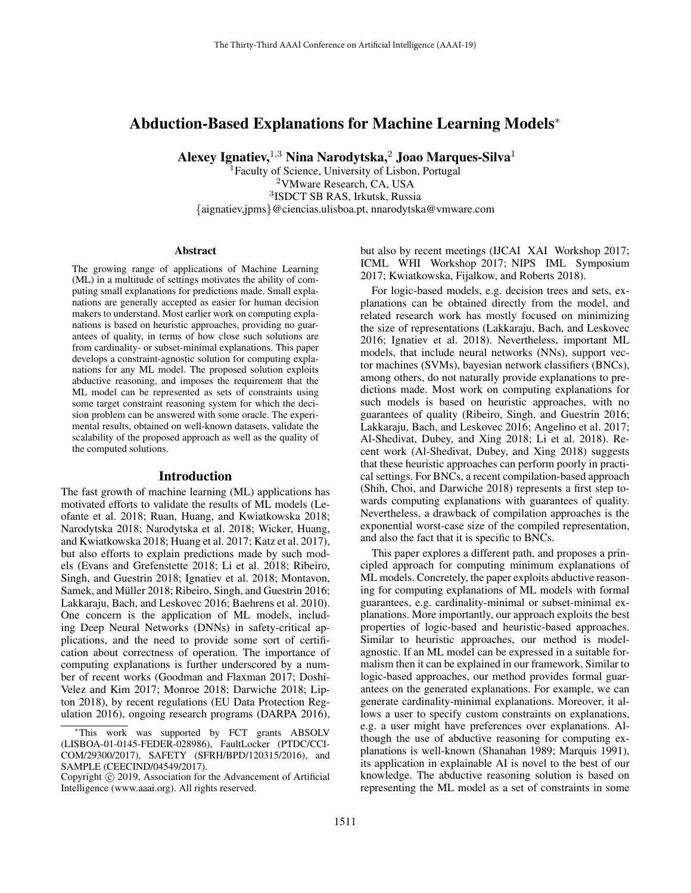# Abduction-Based Explanations for Machine Learning Models<sup>∗</sup>

Alexey Ignatiev,  $1,3$  Nina Narodytska,  $2$  Joao Marques-Silva $1$ 

<sup>1</sup>Faculty of Science, University of Lisbon, Portugal <sup>2</sup>VMware Research, CA, USA 3 ISDCT SB RAS, Irkutsk, Russia {aignatiev,jpms}@ciencias.ulisboa.pt, nnarodytska@vmware.com

#### Abstract

The growing range of applications of Machine Learning (ML) in a multitude of settings motivates the ability of computing small explanations for predictions made. Small explanations are generally accepted as easier for human decision makers to understand. Most earlier work on computing explanations is based on heuristic approaches, providing no guarantees of quality, in terms of how close such solutions are from cardinality- or subset-minimal explanations. This paper develops a constraint-agnostic solution for computing explanations for any ML model. The proposed solution exploits abductive reasoning, and imposes the requirement that the ML model can be represented as sets of constraints using some target constraint reasoning system for which the decision problem can be answered with some oracle. The experimental results, obtained on well-known datasets, validate the scalability of the proposed approach as well as the quality of the computed solutions.

#### Introduction

The fast growth of machine learning (ML) applications has motivated efforts to validate the results of ML models (Leofante et al. 2018; Ruan, Huang, and Kwiatkowska 2018; Narodytska 2018; Narodytska et al. 2018; Wicker, Huang, and Kwiatkowska 2018; Huang et al. 2017; Katz et al. 2017), but also efforts to explain predictions made by such models (Evans and Grefenstette 2018; Li et al. 2018; Ribeiro, Singh, and Guestrin 2018; Ignatiev et al. 2018; Montavon, Samek, and Müller 2018; Ribeiro, Singh, and Guestrin 2016; Lakkaraju, Bach, and Leskovec 2016; Baehrens et al. 2010). One concern is the application of ML models, including Deep Neural Networks (DNNs) in safety-critical applications, and the need to provide some sort of certification about correctness of operation. The importance of computing explanations is further underscored by a number of recent works (Goodman and Flaxman 2017; Doshi-Velez and Kim 2017; Monroe 2018; Darwiche 2018; Lipton 2018), by recent regulations (EU Data Protection Regulation 2016), ongoing research programs (DARPA 2016),

but also by recent meetings (IJCAI XAI Workshop 2017; ICML WHI Workshop 2017; NIPS IML Symposium 2017; Kwiatkowska, Fijalkow, and Roberts 2018).

For logic-based models, e.g. decision trees and sets, explanations can be obtained directly from the model, and related research work has mostly focused on minimizing the size of representations (Lakkaraju, Bach, and Leskovec 2016; Ignatiev et al. 2018). Nevertheless, important ML models, that include neural networks (NNs), support vector machines (SVMs), bayesian network classifiers (BNCs), among others, do not naturally provide explanations to predictions made. Most work on computing explanations for such models is based on heuristic approaches, with no guarantees of quality (Ribeiro, Singh, and Guestrin 2016; Lakkaraju, Bach, and Leskovec 2016; Angelino et al. 2017; Al-Shedivat, Dubey, and Xing 2018; Li et al. 2018). Recent work (Al-Shedivat, Dubey, and Xing 2018) suggests that these heuristic approaches can perform poorly in practical settings. For BNCs, a recent compilation-based approach (Shih, Choi, and Darwiche 2018) represents a first step towards computing explanations with guarantees of quality. Nevertheless, a drawback of compilation approaches is the exponential worst-case size of the compiled representation, and also the fact that it is specific to BNCs.

This paper explores a different path, and proposes a principled approach for computing minimum explanations of ML models. Concretely, the paper exploits abductive reasoning for computing explanations of ML models with formal guarantees, e.g. cardinality-minimal or subset-minimal explanations. More importantly, our approach exploits the best properties of logic-based and heuristic-based approaches. Similar to heuristic approaches, our method is modelagnostic. If an ML model can be expressed in a suitable formalism then it can be explained in our framework. Similar to logic-based approaches, our method provides formal guarantees on the generated explanations. For example, we can generate cardinality-minimal explanations. Moreover, it allows a user to specify custom constraints on explanations, e.g. a user might have preferences over explanations. Although the use of abductive reasoning for computing explanations is well-known (Shanahan 1989; Marquis 1991), its application in explainable AI is novel to the best of our knowledge. The abductive reasoning solution is based on representing the ML model as a set of constraints in some

<sup>∗</sup>This work was supported by FCT grants ABSOLV (LISBOA-01-0145-FEDER-028986), FaultLocker (PTDC/CCI-COM/29300/2017), SAFETY (SFRH/BPD/120315/2016), and SAMPLE (CEECIND/04549/2017).

Copyright © 2019, Association for the Advancement of Artificial Intelligence (www.aaai.org). All rights reserved.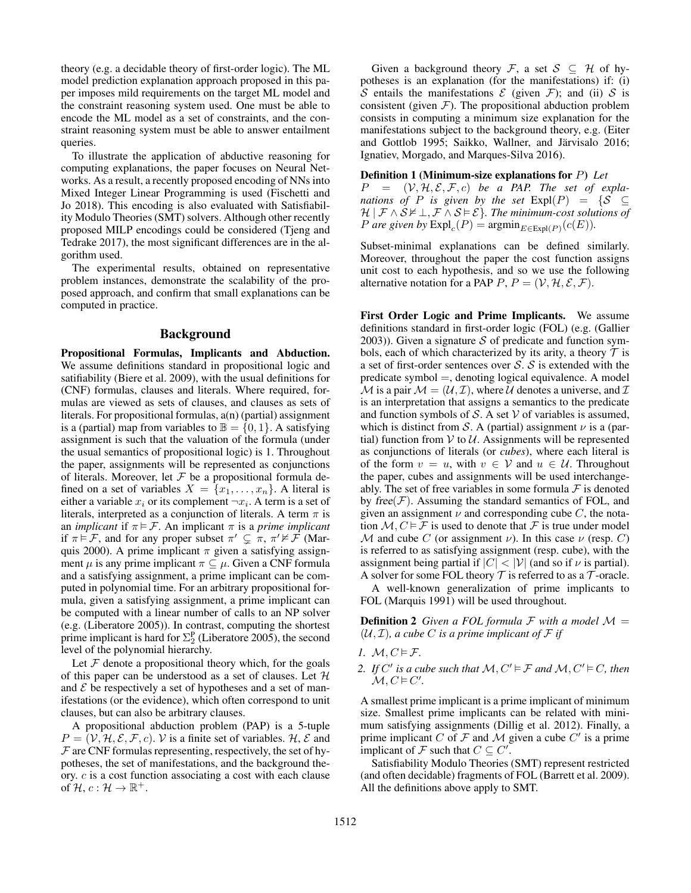theory (e.g. a decidable theory of first-order logic). The ML model prediction explanation approach proposed in this paper imposes mild requirements on the target ML model and the constraint reasoning system used. One must be able to encode the ML model as a set of constraints, and the constraint reasoning system must be able to answer entailment queries.

To illustrate the application of abductive reasoning for computing explanations, the paper focuses on Neural Networks. As a result, a recently proposed encoding of NNs into Mixed Integer Linear Programming is used (Fischetti and Jo 2018). This encoding is also evaluated with Satisfiability Modulo Theories (SMT) solvers. Although other recently proposed MILP encodings could be considered (Tjeng and Tedrake 2017), the most significant differences are in the algorithm used.

The experimental results, obtained on representative problem instances, demonstrate the scalability of the proposed approach, and confirm that small explanations can be computed in practice.

## Background

Propositional Formulas, Implicants and Abduction. We assume definitions standard in propositional logic and satifiability (Biere et al. 2009), with the usual definitions for (CNF) formulas, clauses and literals. Where required, formulas are viewed as sets of clauses, and clauses as sets of literals. For propositional formulas, a(n) (partial) assignment is a (partial) map from variables to  $\mathbb{B} = \{0, 1\}$ . A satisfying assignment is such that the valuation of the formula (under the usual semantics of propositional logic) is 1. Throughout the paper, assignments will be represented as conjunctions of literals. Moreover, let  $F$  be a propositional formula defined on a set of variables  $X = \{x_1, \ldots, x_n\}$ . A literal is either a variable  $x_i$  or its complement  $\neg x_i$ . A term is a set of literals, interpreted as a conjunction of literals. A term  $\pi$  is an *implicant* if  $\pi \models \mathcal{F}$ . An implicant  $\pi$  is a *prime implicant* if  $\pi \models \mathcal{F}$ , and for any proper subset  $\pi' \subsetneq \pi$ ,  $\pi' \nvDash \mathcal{F}$  (Marquis 2000). A prime implicant  $\pi$  given a satisfying assignment  $\mu$  is any prime implicant  $\pi \subseteq \mu$ . Given a CNF formula and a satisfying assignment, a prime implicant can be computed in polynomial time. For an arbitrary propositional formula, given a satisfying assignment, a prime implicant can be computed with a linear number of calls to an NP solver (e.g. (Liberatore 2005)). In contrast, computing the shortest prime implicant is hard for  $\Sigma_2^P$  (Liberatore 2005), the second level of the polynomial hierarchy.

Let  $F$  denote a propositional theory which, for the goals of this paper can be understood as a set of clauses. Let  $H$ and  $\mathcal E$  be respectively a set of hypotheses and a set of manifestations (or the evidence), which often correspond to unit clauses, but can also be arbitrary clauses.

A propositional abduction problem (PAP) is a 5-tuple  $P = (\mathcal{V}, \mathcal{H}, \mathcal{E}, \mathcal{F}, c)$ . V is a finite set of variables.  $\mathcal{H}, \mathcal{E}$  and  $F$  are CNF formulas representing, respectively, the set of hypotheses, the set of manifestations, and the background theory. c is a cost function associating a cost with each clause of  $\mathcal{H}, c: \mathcal{H} \to \mathbb{R}^+$ .

Given a background theory F, a set  $S \subseteq H$  of hypotheses is an explanation (for the manifestations) if: (i) S entails the manifestations  $\mathcal E$  (given  $\mathcal F$ ); and (ii) S is consistent (given  $F$ ). The propositional abduction problem consists in computing a minimum size explanation for the manifestations subject to the background theory, e.g. (Eiter and Gottlob 1995; Saikko, Wallner, and Järvisalo 2016; Ignatiev, Morgado, and Marques-Silva 2016).

#### Definition 1 (Minimum-size explanations for P) *Let*

 $P = (\mathcal{V}, \mathcal{H}, \mathcal{E}, \mathcal{F}, c)$  *be a PAP. The set of explanations of P is given by the set*  $Exp(P) = \{S \subseteq$  $\mathcal{H} \mid \mathcal{F} \wedge \mathcal{S} \nvDash \bot$ ,  $\mathcal{F} \wedge \mathcal{S} \models \mathcal{E}$ *}. The minimum-cost solutions of P* are given by  $\text{Expl}_c(P) = \text{argmin}_{E \in \text{Expl}(P)} (c(E)).$ 

Subset-minimal explanations can be defined similarly. Moreover, throughout the paper the cost function assigns unit cost to each hypothesis, and so we use the following alternative notation for a PAP  $P, P = (\mathcal{V}, \mathcal{H}, \mathcal{E}, \mathcal{F})$ .

First Order Logic and Prime Implicants. We assume definitions standard in first-order logic (FOL) (e.g. (Gallier 2003)). Given a signature  $S$  of predicate and function symbols, each of which characterized by its arity, a theory  $\mathcal T$  is a set of first-order sentences over  $S$ .  $S$  is extended with the predicate symbol =, denoting logical equivalence. A model M is a pair  $M = (U, \mathcal{I})$ , where U denotes a universe, and  $\mathcal{I}$ is an interpretation that assigns a semantics to the predicate and function symbols of  $S$ . A set  $V$  of variables is assumed, which is distinct from S. A (partial) assignment  $\nu$  is a (partial) function from  $V$  to  $U$ . Assignments will be represented as conjunctions of literals (or *cubes*), where each literal is of the form  $v = u$ , with  $v \in V$  and  $u \in U$ . Throughout the paper, cubes and assignments will be used interchangeably. The set of free variables in some formula  $\mathcal F$  is denoted by free $(F)$ . Assuming the standard semantics of FOL, and given an assignment  $\nu$  and corresponding cube C, the notation  $M, C \models \mathcal{F}$  is used to denote that  $\mathcal{F}$  is true under model M and cube C (or assignment  $\nu$ ). In this case  $\nu$  (resp. C) is referred to as satisfying assignment (resp. cube), with the assignment being partial if  $|C| < |\mathcal{V}|$  (and so if  $\nu$  is partial). A solver for some FOL theory  $T$  is referred to as a  $T$ -oracle.

A well-known generalization of prime implicants to FOL (Marquis 1991) will be used throughout.

**Definition 2** Given a FOL formula F with a model  $M =$  $(U, \mathcal{I})$ *, a cube* C *is a prime implicant of* F *if* 

- *1.*  $M, C \models \mathcal{F}$ .
- 2. If C' is a cube such that  $M, C' \vDash F$  and  $M, C' \vDash C$ , then  $\mathcal{M}, C \vDash C'.$

A smallest prime implicant is a prime implicant of minimum size. Smallest prime implicants can be related with minimum satisfying assignments (Dillig et al. 2012). Finally, a prime implicant C of F and M given a cube  $C'$  is a prime implicant of F such that  $C \subseteq C'$ .

Satisfiability Modulo Theories (SMT) represent restricted (and often decidable) fragments of FOL (Barrett et al. 2009). All the definitions above apply to SMT.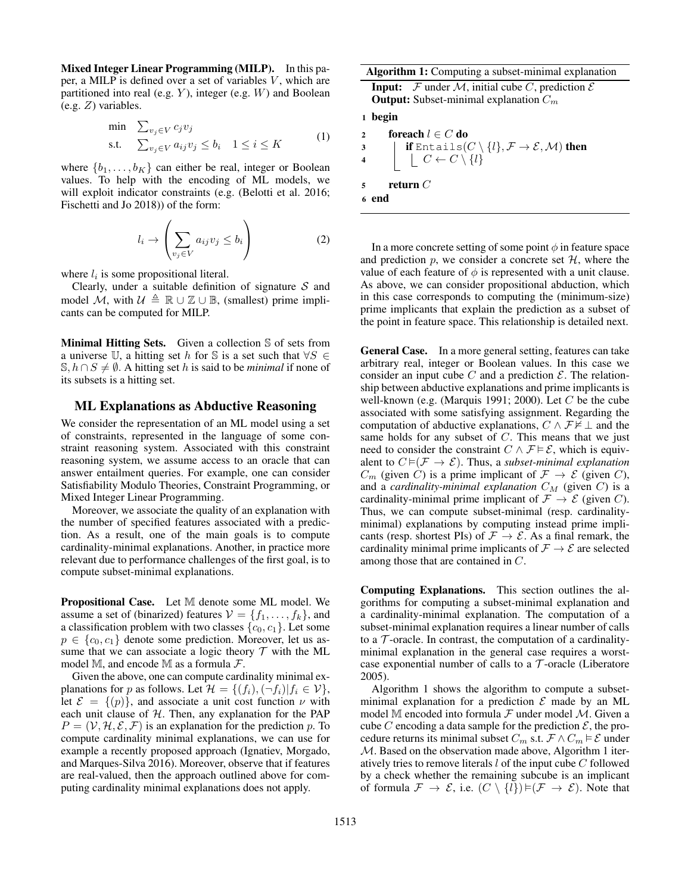Mixed Integer Linear Programming (MILP). In this paper, a MILP is defined over a set of variables  $V$ , which are partitioned into real (e.g.  $Y$ ), integer (e.g.  $W$ ) and Boolean (e.g. Z) variables.

$$
\begin{array}{ll}\n\text{min} & \sum_{v_j \in V} c_j v_j \\
\text{s.t.} & \sum_{v_j \in V} a_{ij} v_j \le b_i \quad 1 \le i \le K\n\end{array} \tag{1}
$$

where  $\{b_1, \ldots, b_K\}$  can either be real, integer or Boolean values. To help with the encoding of ML models, we will exploit indicator constraints (e.g. (Belotti et al. 2016; Fischetti and Jo 2018)) of the form:

$$
l_i \to \left(\sum_{v_j \in V} a_{ij} v_j \le b_i\right) \tag{2}
$$

where  $l_i$  is some propositional literal.

Clearly, under a suitable definition of signature  $S$  and model M, with  $\mathcal{U} \triangleq \mathbb{R} \cup \mathbb{Z} \cup \mathbb{B}$ , (smallest) prime implicants can be computed for MILP.

Minimal Hitting Sets. Given a collection S of sets from a universe U, a hitting set h for S is a set such that  $\forall S \in$ S,  $h ∩ S ≠ ∅$ . A hitting set h is said to be *minimal* if none of its subsets is a hitting set.

#### ML Explanations as Abductive Reasoning

We consider the representation of an ML model using a set of constraints, represented in the language of some constraint reasoning system. Associated with this constraint reasoning system, we assume access to an oracle that can answer entailment queries. For example, one can consider Satisfiability Modulo Theories, Constraint Programming, or Mixed Integer Linear Programming.

Moreover, we associate the quality of an explanation with the number of specified features associated with a prediction. As a result, one of the main goals is to compute cardinality-minimal explanations. Another, in practice more relevant due to performance challenges of the first goal, is to compute subset-minimal explanations.

Propositional Case. Let M denote some ML model. We assume a set of (binarized) features  $V = \{f_1, \ldots, f_k\}$ , and a classification problem with two classes  $\{c_0, c_1\}$ . Let some  $p \in \{c_0, c_1\}$  denote some prediction. Moreover, let us assume that we can associate a logic theory  $T$  with the ML model M, and encode M as a formula  $\mathcal{F}$ .

Given the above, one can compute cardinality minimal explanations for p as follows. Let  $\mathcal{H} = \{(f_i),(\neg f_i)|f_i \in \mathcal{V}\},\$ let  $\mathcal{E} = \{(p)\}\$ , and associate a unit cost function  $\nu$  with each unit clause of  $H$ . Then, any explanation for the PAP  $P = (\mathcal{V}, \mathcal{H}, \mathcal{E}, \mathcal{F})$  is an explanation for the prediction p. To compute cardinality minimal explanations, we can use for example a recently proposed approach (Ignatiev, Morgado, and Marques-Silva 2016). Moreover, observe that if features are real-valued, then the approach outlined above for computing cardinality minimal explanations does not apply.

| <b>Algorithm 1:</b> Computing a subset-minimal explanation                                                                                                                |
|---------------------------------------------------------------------------------------------------------------------------------------------------------------------------|
| <b>Input:</b> F under M, initial cube C, prediction $\mathcal E$                                                                                                          |
| <b>Output:</b> Subset-minimal explanation $C_m$                                                                                                                           |
| 1 begin                                                                                                                                                                   |
| foreach $l \in C$ do<br>$\mathbf{2}$                                                                                                                                      |
| $\mathbf{3}$                                                                                                                                                              |
| <b>if</b> Entails $(C \setminus \{l\}, \mathcal{F} \to \mathcal{E}, \mathcal{M})$ then<br>$\begin{bmatrix} C \leftarrow C \setminus \{l\} \end{bmatrix}$<br>$\frac{1}{4}$ |
| return $C$                                                                                                                                                                |
| 6 end                                                                                                                                                                     |

In a more concrete setting of some point  $\phi$  in feature space and prediction  $p$ , we consider a concrete set  $H$ , where the value of each feature of  $\phi$  is represented with a unit clause. As above, we can consider propositional abduction, which in this case corresponds to computing the (minimum-size) prime implicants that explain the prediction as a subset of the point in feature space. This relationship is detailed next.

General Case. In a more general setting, features can take arbitrary real, integer or Boolean values. In this case we consider an input cube C and a prediction  $\mathcal{E}$ . The relationship between abductive explanations and prime implicants is well-known (e.g. (Marquis 1991; 2000). Let  $C$  be the cube associated with some satisfying assignment. Regarding the computation of abductive explanations,  $C \wedge \mathcal{F} \not\models \bot$  and the same holds for any subset of C. This means that we just need to consider the constraint  $C \wedge \mathcal{F} \models \mathcal{E}$ , which is equivalent to  $C \models (\mathcal{F} \rightarrow \mathcal{E})$ . Thus, a *subset-minimal explanation*  $C_m$  (given C) is a prime implicant of  $\mathcal{F} \to \mathcal{E}$  (given C), and a *cardinality-minimal explanation*  $C_M$  (given C) is a cardinality-minimal prime implicant of  $\mathcal{F} \to \mathcal{E}$  (given C). Thus, we can compute subset-minimal (resp. cardinalityminimal) explanations by computing instead prime implicants (resp. shortest PIs) of  $\mathcal{F} \to \mathcal{E}$ . As a final remark, the cardinality minimal prime implicants of  $\mathcal{F} \rightarrow \mathcal{E}$  are selected among those that are contained in C.

Computing Explanations. This section outlines the algorithms for computing a subset-minimal explanation and a cardinality-minimal explanation. The computation of a subset-minimal explanation requires a linear number of calls to a  $\mathcal T$ -oracle. In contrast, the computation of a cardinalityminimal explanation in the general case requires a worstcase exponential number of calls to a  $\mathcal T$ -oracle (Liberatore 2005).

Algorithm 1 shows the algorithm to compute a subsetminimal explanation for a prediction  $\mathcal E$  made by an ML model M encoded into formula  $\mathcal F$  under model  $\mathcal M$ . Given a cube C encoding a data sample for the prediction  $\mathcal{E}$ , the procedure returns its minimal subset  $C_m$  s.t.  $\mathcal{F} \wedge C_m \models \mathcal{E}$  under M. Based on the observation made above, Algorithm 1 iteratively tries to remove literals  $l$  of the input cube  $C$  followed by a check whether the remaining subcube is an implicant of formula  $\mathcal{F} \to \mathcal{E}$ , i.e.  $(C \setminus \{i\}) \models (\mathcal{F} \to \mathcal{E})$ . Note that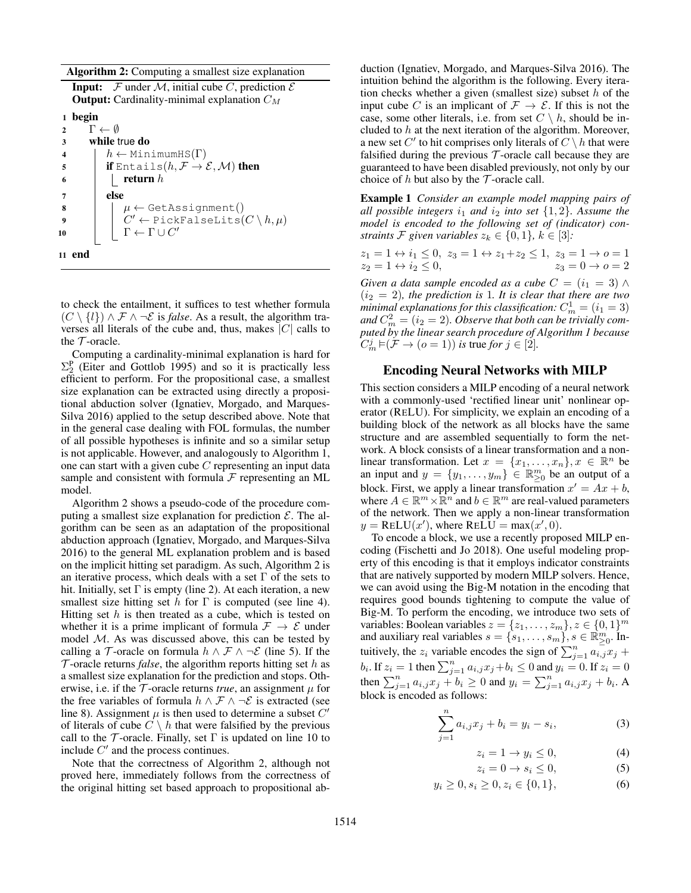Algorithm 2: Computing a smallest size explanation

**Input:**  $\mathcal F$  under  $\mathcal M$ , initial cube C, prediction  $\mathcal E$ **Output:** Cardinality-minimal explanation  $C_M$ 1 begin 2  $\Gamma \leftarrow \emptyset$ 3 while true do 4  $h \leftarrow \text{MinimumHS}(\Gamma)$ 5 **if** Entails $(h, \mathcal{F} \rightarrow \mathcal{E}, \mathcal{M})$  then 6 | | return  $h$ 7 else 8  $\mu \leftarrow \text{GetAssignment}()$  $9$   $|$   $C' \leftarrow$  PickFalseLits $(C \setminus h, \mu)$ 10  $\Gamma \leftarrow \Gamma \cup C'$ 11 end

to check the entailment, it suffices to test whether formula  $(C \setminus \{l\}) \wedge \mathcal{F} \wedge \neg \mathcal{E}$  is *false*. As a result, the algorithm traverses all literals of the cube and, thus, makes  $|C|$  calls to the  $\mathcal T$ -oracle.

Computing a cardinality-minimal explanation is hard for  $\Sigma_2^{\rm P}$  (Eiter and Gottlob 1995) and so it is practically less efficient to perform. For the propositional case, a smallest size explanation can be extracted using directly a propositional abduction solver (Ignatiev, Morgado, and Marques-Silva 2016) applied to the setup described above. Note that in the general case dealing with FOL formulas, the number of all possible hypotheses is infinite and so a similar setup is not applicable. However, and analogously to Algorithm 1, one can start with a given cube C representing an input data sample and consistent with formula  $F$  representing an ML model.

Algorithm 2 shows a pseudo-code of the procedure computing a smallest size explanation for prediction  $\mathcal{E}$ . The algorithm can be seen as an adaptation of the propositional abduction approach (Ignatiev, Morgado, and Marques-Silva 2016) to the general ML explanation problem and is based on the implicit hitting set paradigm. As such, Algorithm 2 is an iterative process, which deals with a set  $\Gamma$  of the sets to hit. Initially, set  $\Gamma$  is empty (line 2). At each iteration, a new smallest size hitting set h for  $\Gamma$  is computed (see line 4). Hitting set  $h$  is then treated as a cube, which is tested on whether it is a prime implicant of formula  $\mathcal{F} \rightarrow \mathcal{E}$  under model  $M$ . As was discussed above, this can be tested by calling a T-oracle on formula  $h \wedge \mathcal{F} \wedge \neg \mathcal{E}$  (line 5). If the  $\mathcal T$ -oracle returns *false*, the algorithm reports hitting set h as a smallest size explanation for the prediction and stops. Otherwise, i.e. if the  $\mathcal T$ -oracle returns *true*, an assignment  $\mu$  for the free variables of formula  $h \wedge \mathcal{F} \wedge \neg \mathcal{E}$  is extracted (see line 8). Assignment  $\mu$  is then used to determine a subset  $C'$ of literals of cube  $C \setminus h$  that were falsified by the previous call to the  $\mathcal T$ -oracle. Finally, set  $\Gamma$  is updated on line 10 to include  $C'$  and the process continues.

Note that the correctness of Algorithm 2, although not proved here, immediately follows from the correctness of the original hitting set based approach to propositional ab-

duction (Ignatiev, Morgado, and Marques-Silva 2016). The intuition behind the algorithm is the following. Every iteration checks whether a given (smallest size) subset  $h$  of the input cube C is an implicant of  $\mathcal{F} \to \mathcal{E}$ . If this is not the case, some other literals, i.e. from set  $C \setminus h$ , should be included to  $h$  at the next iteration of the algorithm. Moreover, a new set  $C'$  to hit comprises only literals of  $C \setminus h$  that were falsified during the previous  $\mathcal T$ -oracle call because they are guaranteed to have been disabled previously, not only by our choice of h but also by the  $\mathcal T$ -oracle call.

Example 1 *Consider an example model mapping pairs of all possible integers*  $i_1$  *and*  $i_2$  *into set*  $\{1, 2\}$ *. Assume the model is encoded to the following set of (indicator) constraints*  $\mathcal{F}$  *given variables*  $z_k \in \{0, 1\}$ *,*  $k \in [3]$ *:* 

$$
\begin{array}{l} z_1 = 1 \leftrightarrow i_1 \leq 0, \ z_3 = 1 \leftrightarrow z_1 + z_2 \leq 1, \ z_3 = 1 \to o = 1 \\ z_2 = 1 \leftrightarrow i_2 \leq 0, \qquad \qquad z_3 = 0 \to o = 2 \end{array}
$$

*Given a data sample encoded as a cube*  $C = (i_1 = 3) \land$  $(i_2 = 2)$ *, the prediction is 1. It is clear that there are two* minimal explanations for this classification:  $C_m^1 = (i_1 = 3)$ and  $C_m^2 = (i_2 = 2)$ . Observe that both can be trivially com*puted by the linear search procedure of Algorithm 1 because*  $C_m^j \models (\mathcal{F} \rightarrow (o=1))$  *is* true *for*  $j \in [\mathbf{2}]$ .

### Encoding Neural Networks with MILP

This section considers a MILP encoding of a neural network with a commonly-used 'rectified linear unit' nonlinear operator (RELU). For simplicity, we explain an encoding of a building block of the network as all blocks have the same structure and are assembled sequentially to form the network. A block consists of a linear transformation and a nonlinear transformation. Let  $x = \{x_1, \ldots, x_n\}, x \in \mathbb{R}^n$  be an input and  $y = \{y_1, \ldots, y_m\} \in \mathbb{R}^m_{\geq 0}$  be an output of a block. First, we apply a linear transformation  $x' = Ax + b$ , where  $A \in \mathbb{R}^m \times \mathbb{R}^n$  and  $b \in \mathbb{R}^m$  are real-valued parameters of the network. Then we apply a non-linear transformation  $y = \text{ReLU}(x')$ , where  $\text{ReLU} = \max(x', 0)$ .

To encode a block, we use a recently proposed MILP encoding (Fischetti and Jo 2018). One useful modeling property of this encoding is that it employs indicator constraints that are natively supported by modern MILP solvers. Hence, we can avoid using the Big-M notation in the encoding that requires good bounds tightening to compute the value of Big-M. To perform the encoding, we introduce two sets of variables: Boolean variables  $z = \{z_1, \ldots, z_m\}, z \in \{0, 1\}^m$ and auxiliary real variables  $s = \{s_1, \ldots, s_m\}, s \in \mathbb{R}^m_{\geq 0}$ . Intuitively, the  $z_i$  variable encodes the sign of  $\sum_{j=1}^{n} a_{i,j} z_j +$  $b_i$ . If  $z_i = 1$  then  $\sum_{j=1}^n a_{i,j} x_j + b_i \le 0$  and  $y_i = 0$ . If  $z_i = 0$ then  $\sum_{j=1}^{n} a_{i,j} x_j + b_i \ge 0$  and  $y_i = \sum_{j=1}^{n} a_{i,j} x_j + b_i$ . A block is encoded as follows:

$$
\sum_{j=1}^{n} a_{i,j} x_j + b_i = y_i - s_i,
$$
\n(3)

$$
z_i = 1 \to y_i \le 0,\tag{4}
$$

 $z_i = 0 \to s_i \leq 0,$  (5)

$$
y_i \ge 0, s_i \ge 0, z_i \in \{0, 1\},\tag{6}
$$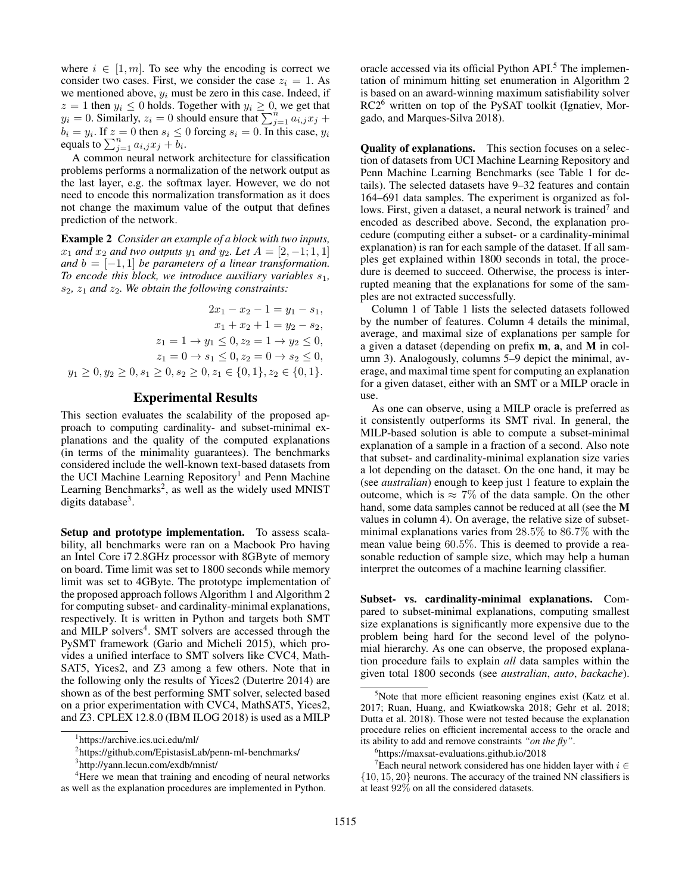where  $i \in [1, m]$ . To see why the encoding is correct we consider two cases. First, we consider the case  $z_i = 1$ . As we mentioned above,  $y_i$  must be zero in this case. Indeed, if  $z = 1$  then  $y_i \leq 0$  holds. Together with  $y_i \geq 0$ , we get that  $y_i = 0$ . Similarly,  $z_i = 0$  should ensure that  $\sum_{j=1}^{n} a_{i,j} x_j +$  $b_i = y_i$ . If  $z = 0$  then  $s_i \le 0$  forcing  $s_i = 0$ . In this case,  $y_i$ equals to  $\sum_{j=1}^n a_{i,j} x_j + \overline{b}_i$ .

A common neural network architecture for classification problems performs a normalization of the network output as the last layer, e.g. the softmax layer. However, we do not need to encode this normalization transformation as it does not change the maximum value of the output that defines prediction of the network.

Example 2 *Consider an example of a block with two inputs,*  $x_1$  *and*  $x_2$  *and two outputs*  $y_1$  *and*  $y_2$ *. Let*  $A = [2, -1; 1, 1]$ *and*  $b = [-1, 1]$  *be parameters of a linear transformation. To encode this block, we introduce auxiliary variables*  $s_1$ *,*  $s_2$ ,  $z_1$  *and*  $z_2$ *. We obtain the following constraints:* 

$$
2x_1 - x_2 - 1 = y_1 - s_1,
$$
  
\n
$$
x_1 + x_2 + 1 = y_2 - s_2,
$$
  
\n
$$
z_1 = 1 \rightarrow y_1 \le 0, z_2 = 1 \rightarrow y_2 \le 0,
$$
  
\n
$$
z_1 = 0 \rightarrow s_1 \le 0, z_2 = 0 \rightarrow s_2 \le 0,
$$
  
\n
$$
y_1 \ge 0, y_2 \ge 0, s_1 \ge 0, s_2 \ge 0, z_1 \in \{0, 1\}, z_2 \in \{0, 1\}.
$$

## Experimental Results

This section evaluates the scalability of the proposed approach to computing cardinality- and subset-minimal explanations and the quality of the computed explanations (in terms of the minimality guarantees). The benchmarks considered include the well-known text-based datasets from the UCI Machine Learning Repository<sup>1</sup> and Penn Machine Learning Benchmarks<sup>2</sup>, as well as the widely used MNIST digits database<sup>3</sup>.

Setup and prototype implementation. To assess scalability, all benchmarks were ran on a Macbook Pro having an Intel Core i7 2.8GHz processor with 8GByte of memory on board. Time limit was set to 1800 seconds while memory limit was set to 4GByte. The prototype implementation of the proposed approach follows Algorithm 1 and Algorithm 2 for computing subset- and cardinality-minimal explanations, respectively. It is written in Python and targets both SMT and MILP solvers<sup>4</sup>. SMT solvers are accessed through the PySMT framework (Gario and Micheli 2015), which provides a unified interface to SMT solvers like CVC4, Math-SAT5, Yices2, and Z3 among a few others. Note that in the following only the results of Yices2 (Dutertre 2014) are shown as of the best performing SMT solver, selected based on a prior experimentation with CVC4, MathSAT5, Yices2, and Z3. CPLEX 12.8.0 (IBM ILOG 2018) is used as a MILP

oracle accessed via its official Python API.<sup>5</sup> The implementation of minimum hitting set enumeration in Algorithm 2 is based on an award-winning maximum satisfiability solver RC2<sup>6</sup> written on top of the PySAT toolkit (Ignatiev, Morgado, and Marques-Silva 2018).

Quality of explanations. This section focuses on a selection of datasets from UCI Machine Learning Repository and Penn Machine Learning Benchmarks (see Table 1 for details). The selected datasets have 9–32 features and contain 164–691 data samples. The experiment is organized as follows. First, given a dataset, a neural network is trained<sup>7</sup> and encoded as described above. Second, the explanation procedure (computing either a subset- or a cardinality-minimal explanation) is ran for each sample of the dataset. If all samples get explained within 1800 seconds in total, the procedure is deemed to succeed. Otherwise, the process is interrupted meaning that the explanations for some of the samples are not extracted successfully.

Column 1 of Table 1 lists the selected datasets followed by the number of features. Column 4 details the minimal, average, and maximal size of explanations per sample for a given a dataset (depending on prefix m, a, and M in column 3). Analogously, columns 5–9 depict the minimal, average, and maximal time spent for computing an explanation for a given dataset, either with an SMT or a MILP oracle in use.

As one can observe, using a MILP oracle is preferred as it consistently outperforms its SMT rival. In general, the MILP-based solution is able to compute a subset-minimal explanation of a sample in a fraction of a second. Also note that subset- and cardinality-minimal explanation size varies a lot depending on the dataset. On the one hand, it may be (see *australian*) enough to keep just 1 feature to explain the outcome, which is  $\approx 7\%$  of the data sample. On the other hand, some data samples cannot be reduced at all (see the M values in column 4). On average, the relative size of subsetminimal explanations varies from 28.5% to 86.7% with the mean value being 60.5%. This is deemed to provide a reasonable reduction of sample size, which may help a human interpret the outcomes of a machine learning classifier.

Subset- vs. cardinality-minimal explanations. Compared to subset-minimal explanations, computing smallest size explanations is significantly more expensive due to the problem being hard for the second level of the polynomial hierarchy. As one can observe, the proposed explanation procedure fails to explain *all* data samples within the given total 1800 seconds (see *australian*, *auto*, *backache*).

<sup>1</sup> https://archive.ics.uci.edu/ml/

<sup>2</sup> https://github.com/EpistasisLab/penn-ml-benchmarks/

<sup>3</sup> http://yann.lecun.com/exdb/mnist/

<sup>&</sup>lt;sup>4</sup>Here we mean that training and encoding of neural networks as well as the explanation procedures are implemented in Python.

 $5$ Note that more efficient reasoning engines exist (Katz et al. 2017; Ruan, Huang, and Kwiatkowska 2018; Gehr et al. 2018; Dutta et al. 2018). Those were not tested because the explanation procedure relies on efficient incremental access to the oracle and its ability to add and remove constraints *"on the fly"*.

<sup>6</sup> https://maxsat-evaluations.github.io/2018

<sup>&</sup>lt;sup>7</sup>Each neural network considered has one hidden layer with  $i \in$ {10, 15, 20} neurons. The accuracy of the trained NN classifiers is at least 92% on all the considered datasets.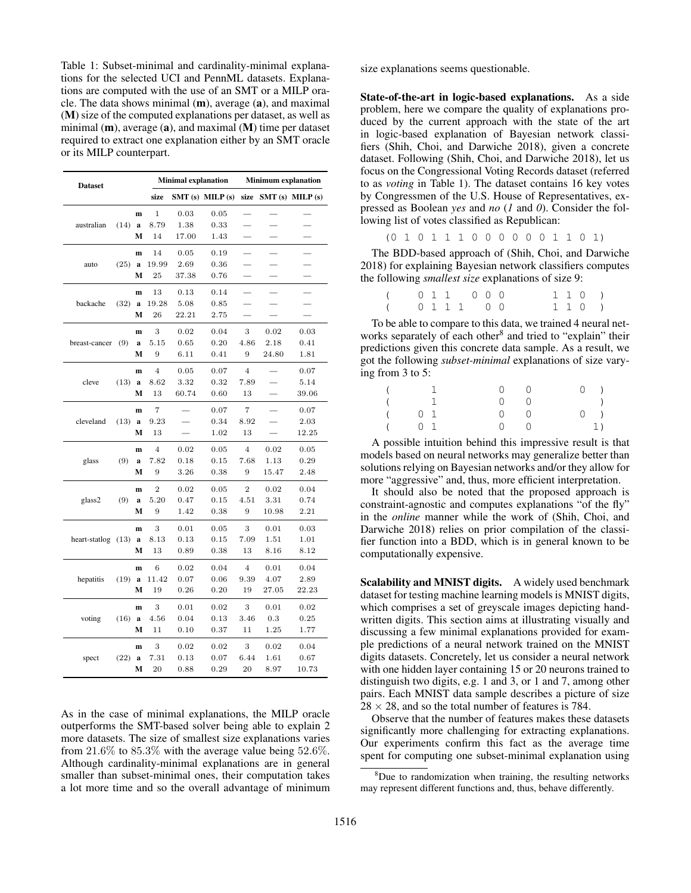Table 1: Subset-minimal and cardinality-minimal explanations for the selected UCI and PennML datasets. Explanations are computed with the use of an SMT or a MILP oracle. The data shows minimal (m), average (a), and maximal (M) size of the computed explanations per dataset, as well as minimal  $(m)$ , average  $(a)$ , and maximal  $(M)$  time per dataset required to extract one explanation either by an SMT oracle or its MILP counterpart.

| <b>Dataset</b> |      |   |                | <b>Minimal explanation</b> |           | <b>Minimum explanation</b> |       |                     |  |  |
|----------------|------|---|----------------|----------------------------|-----------|----------------------------|-------|---------------------|--|--|
|                |      |   | size           | $SMT(s)$ MILP $(s)$        |           | size                       |       | $SMT(s)$ MILP $(s)$ |  |  |
|                |      | m | 1              | 0.03                       | $_{0.05}$ |                            |       |                     |  |  |
| australian     | (14) | a | 8.79           | 1.38                       | 0.33      |                            |       |                     |  |  |
|                |      | М | 14             | 17.00                      | 1.43      |                            |       |                     |  |  |
|                |      | m | 14             | 0.05                       | 0.19      |                            |       |                     |  |  |
| auto           | (25) | a | 19.99          | 2.69                       | 0.36      |                            |       |                     |  |  |
|                |      | М | 25             | 37.38                      | 0.76      |                            |       |                     |  |  |
|                |      | m | 13             | 0.13                       | 0.14      |                            |       |                     |  |  |
| backache       | (32) | a | 19.28          | 5.08                       | 0.85      |                            |       |                     |  |  |
|                |      | М | 26             | 22.21                      | 2.75      |                            |       |                     |  |  |
|                |      | m | 3              | 0.02                       | 0.04      | 3                          | 0.02  | 0.03                |  |  |
| breast-cancer  | (9)  | a | 5.15           | 0.65                       | 0.20      | 4.86                       | 2.18  | 0.41                |  |  |
|                |      | М | 9              | 6.11                       | 0.41      | 9                          | 24.80 | 1.81                |  |  |
|                |      | m | 4              | 0.05                       | 0.07      | $\overline{4}$             |       | 0.07                |  |  |
| cleve          | (13) | a | 8.62           | 3.32                       | 0.32      | 7.89                       |       | 5.14                |  |  |
|                |      | М | 13             | 60.74                      | 0.60      | 13                         |       | 39.06               |  |  |
|                |      | m | 7              |                            | 0.07      | 7                          |       | 0.07                |  |  |
| cleveland      | (13) | a | 9.23           |                            | 0.34      | 8.92                       |       | 2.03                |  |  |
|                |      | М | 13             |                            | 1.02      | 13                         |       | 12.25               |  |  |
|                |      | m | $\overline{4}$ | 0.02                       | 0.05      | $\bf{4}$                   | 0.02  | 0.05                |  |  |
| glass          | (9)  | a | 7.82           | 0.18                       | 0.15      | 7.68                       | 1.13  | 0.29                |  |  |
|                |      | М | 9              | 3.26                       | 0.38      | 9                          | 15.47 | 2.48                |  |  |
|                |      | m | $\overline{2}$ | 0.02                       | 0.05      | $\overline{2}$             | 0.02  | 0.04                |  |  |
| glass2         | (9)  | a | 5.20           | 0.47                       | 0.15      | 4.51                       | 3.31  | 0.74                |  |  |
|                |      | М | 9              | 1.42                       | 0.38      | 9                          | 10.98 | 2.21                |  |  |
|                |      | m | 3              | 0.01                       | 0.05      | 3                          | 0.01  | 0.03                |  |  |
| heart-statlog  | (13) | a | 8.13           | 0.13                       | 0.15      | 7.09                       | 1.51  | 1.01                |  |  |
|                |      | М | 13             | 0.89                       | 0.38      | 13                         | 8.16  | 8.12                |  |  |
|                |      | m | 6              | 0.02                       | 0.04      | $\overline{4}$             | 0.01  | 0.04                |  |  |
| hepatitis      | (19) | a | 11.42          | 0.07                       | 0.06      | 9.39                       | 4.07  | 2.89                |  |  |
|                |      | М | 19             | $_{0.26}$                  | 0.20      | 19                         | 27.05 | 22.23               |  |  |
|                |      | m | 3              | 0.01                       | 0.02      | 3                          | 0.01  | $_{0.02}$           |  |  |
| voting         | (16) | a | 4.56           | 0.04                       | 0.13      | 3.46                       | 0.3   | 0.25                |  |  |
|                |      | М | 11             | 0.10                       | 0.37      | 11                         | 1.25  | 1.77                |  |  |
|                |      | m | 3              | 0.02                       | 0.02      | 3                          | 0.02  | 0.04                |  |  |
| spect          | (22) | a | 7.31           | 0.13                       | 0.07      | 6.44                       | 1.61  | $_{0.67}$           |  |  |
|                |      | М | 20             | 0.88                       | 0.29      | 20                         | 8.97  | 10.73               |  |  |

As in the case of minimal explanations, the MILP oracle outperforms the SMT-based solver being able to explain 2 more datasets. The size of smallest size explanations varies from 21.6% to 85.3% with the average value being 52.6%. Although cardinality-minimal explanations are in general smaller than subset-minimal ones, their computation takes a lot more time and so the overall advantage of minimum

size explanations seems questionable.

State-of-the-art in logic-based explanations. As a side problem, here we compare the quality of explanations produced by the current approach with the state of the art in logic-based explanation of Bayesian network classifiers (Shih, Choi, and Darwiche 2018), given a concrete dataset. Following (Shih, Choi, and Darwiche 2018), let us focus on the Congressional Voting Records dataset (referred to as *voting* in Table 1). The dataset contains 16 key votes by Congressmen of the U.S. House of Representatives, expressed as Boolean *yes* and *no* (*1* and *0*). Consider the following list of votes classified as Republican:

(0 1 0 1 1 1 0 0 0 0 0 0 1 1 0 1)

The BDD-based approach of (Shih, Choi, and Darwiche 2018) for explaining Bayesian network classifiers computes the following *smallest size* explanations of size 9:

| ( 011 000 |  |  |  |  |  |  | 1 1 0) |
|-----------|--|--|--|--|--|--|--------|
| ( 0111 00 |  |  |  |  |  |  | 1 1 0  |

To be able to compare to this data, we trained 4 neural networks separately of each other<sup>8</sup> and tried to "explain" their predictions given this concrete data sample. As a result, we got the following *subset-minimal* explanations of size varying from 3 to 5:

| $\left($ |                                                                                                                                                                    |  | $0\qquad 0$ | $0$ )           |
|----------|--------------------------------------------------------------------------------------------------------------------------------------------------------------------|--|-------------|-----------------|
|          | $\begin{array}{ccc} \begin{array}{ccc} \end{array} & \begin{array}{ccc} \end{array} & \begin{array}{ccc} \end{array} & \begin{array}{ccc} \end{array} \end{array}$ |  | $0\qquad 0$ |                 |
|          | $($ 0 1                                                                                                                                                            |  | $0\qquad 0$ | $0 \rightarrow$ |
|          | $($ 0 1                                                                                                                                                            |  | $0\qquad 0$ | 1)              |

A possible intuition behind this impressive result is that models based on neural networks may generalize better than solutions relying on Bayesian networks and/or they allow for more "aggressive" and, thus, more efficient interpretation.

It should also be noted that the proposed approach is constraint-agnostic and computes explanations "of the fly" in the *online* manner while the work of (Shih, Choi, and Darwiche 2018) relies on prior compilation of the classifier function into a BDD, which is in general known to be computationally expensive.

Scalability and MNIST digits. A widely used benchmark dataset for testing machine learning models is MNIST digits, which comprises a set of greyscale images depicting handwritten digits. This section aims at illustrating visually and discussing a few minimal explanations provided for example predictions of a neural network trained on the MNIST digits datasets. Concretely, let us consider a neural network with one hidden layer containing 15 or 20 neurons trained to distinguish two digits, e.g. 1 and 3, or 1 and 7, among other pairs. Each MNIST data sample describes a picture of size  $28 \times 28$ , and so the total number of features is 784.

Observe that the number of features makes these datasets significantly more challenging for extracting explanations. Our experiments confirm this fact as the average time spent for computing one subset-minimal explanation using

<sup>8</sup>Due to randomization when training, the resulting networks may represent different functions and, thus, behave differently.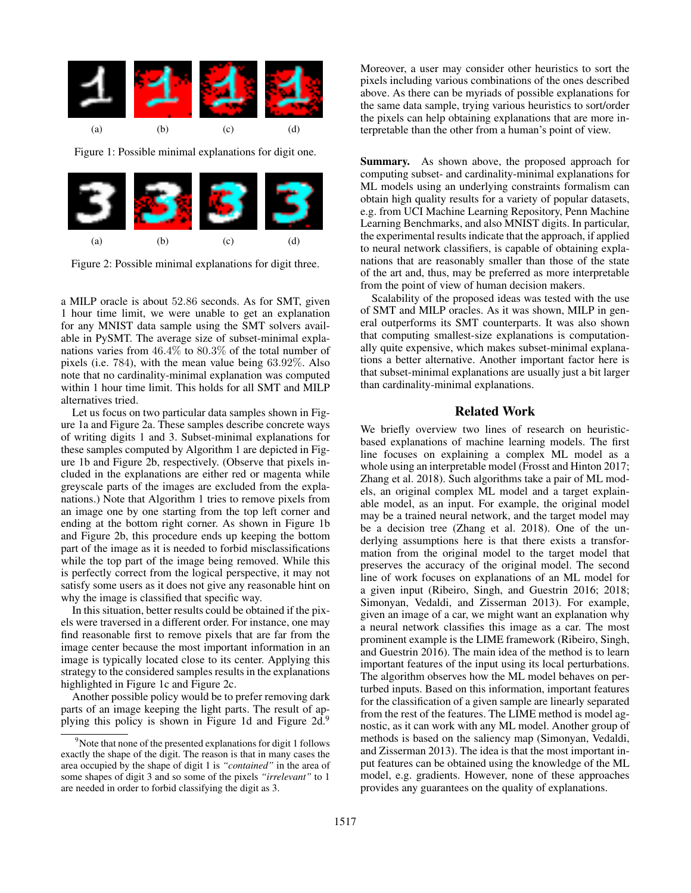

Figure 1: Possible minimal explanations for digit one.



Figure 2: Possible minimal explanations for digit three.

a MILP oracle is about 52.86 seconds. As for SMT, given 1 hour time limit, we were unable to get an explanation for any MNIST data sample using the SMT solvers available in PySMT. The average size of subset-minimal explanations varies from 46.4% to 80.3% of the total number of pixels (i.e. 784), with the mean value being 63.92%. Also note that no cardinality-minimal explanation was computed within 1 hour time limit. This holds for all SMT and MILP alternatives tried.

Let us focus on two particular data samples shown in Figure 1a and Figure 2a. These samples describe concrete ways of writing digits 1 and 3. Subset-minimal explanations for these samples computed by Algorithm 1 are depicted in Figure 1b and Figure 2b, respectively. (Observe that pixels included in the explanations are either red or magenta while greyscale parts of the images are excluded from the explanations.) Note that Algorithm 1 tries to remove pixels from an image one by one starting from the top left corner and ending at the bottom right corner. As shown in Figure 1b and Figure 2b, this procedure ends up keeping the bottom part of the image as it is needed to forbid misclassifications while the top part of the image being removed. While this is perfectly correct from the logical perspective, it may not satisfy some users as it does not give any reasonable hint on why the image is classified that specific way.

In this situation, better results could be obtained if the pixels were traversed in a different order. For instance, one may find reasonable first to remove pixels that are far from the image center because the most important information in an image is typically located close to its center. Applying this strategy to the considered samples results in the explanations highlighted in Figure 1c and Figure 2c.

Another possible policy would be to prefer removing dark parts of an image keeping the light parts. The result of applying this policy is shown in Figure 1d and Figure 2d.<sup>9</sup>

Moreover, a user may consider other heuristics to sort the pixels including various combinations of the ones described above. As there can be myriads of possible explanations for the same data sample, trying various heuristics to sort/order the pixels can help obtaining explanations that are more interpretable than the other from a human's point of view.

Summary. As shown above, the proposed approach for computing subset- and cardinality-minimal explanations for ML models using an underlying constraints formalism can obtain high quality results for a variety of popular datasets, e.g. from UCI Machine Learning Repository, Penn Machine Learning Benchmarks, and also MNIST digits. In particular, the experimental results indicate that the approach, if applied to neural network classifiers, is capable of obtaining explanations that are reasonably smaller than those of the state of the art and, thus, may be preferred as more interpretable from the point of view of human decision makers.

Scalability of the proposed ideas was tested with the use of SMT and MILP oracles. As it was shown, MILP in general outperforms its SMT counterparts. It was also shown that computing smallest-size explanations is computationally quite expensive, which makes subset-minimal explanations a better alternative. Another important factor here is that subset-minimal explanations are usually just a bit larger than cardinality-minimal explanations.

## Related Work

We briefly overview two lines of research on heuristicbased explanations of machine learning models. The first line focuses on explaining a complex ML model as a whole using an interpretable model (Frosst and Hinton 2017; Zhang et al. 2018). Such algorithms take a pair of ML models, an original complex ML model and a target explainable model, as an input. For example, the original model may be a trained neural network, and the target model may be a decision tree (Zhang et al. 2018). One of the underlying assumptions here is that there exists a transformation from the original model to the target model that preserves the accuracy of the original model. The second line of work focuses on explanations of an ML model for a given input (Ribeiro, Singh, and Guestrin 2016; 2018; Simonyan, Vedaldi, and Zisserman 2013). For example, given an image of a car, we might want an explanation why a neural network classifies this image as a car. The most prominent example is the LIME framework (Ribeiro, Singh, and Guestrin 2016). The main idea of the method is to learn important features of the input using its local perturbations. The algorithm observes how the ML model behaves on perturbed inputs. Based on this information, important features for the classification of a given sample are linearly separated from the rest of the features. The LIME method is model agnostic, as it can work with any ML model. Another group of methods is based on the saliency map (Simonyan, Vedaldi, and Zisserman 2013). The idea is that the most important input features can be obtained using the knowledge of the ML model, e.g. gradients. However, none of these approaches provides any guarantees on the quality of explanations.

 $9^9$ Note that none of the presented explanations for digit 1 follows exactly the shape of the digit. The reason is that in many cases the area occupied by the shape of digit 1 is *"contained"* in the area of some shapes of digit 3 and so some of the pixels *"irrelevant"* to 1 are needed in order to forbid classifying the digit as 3.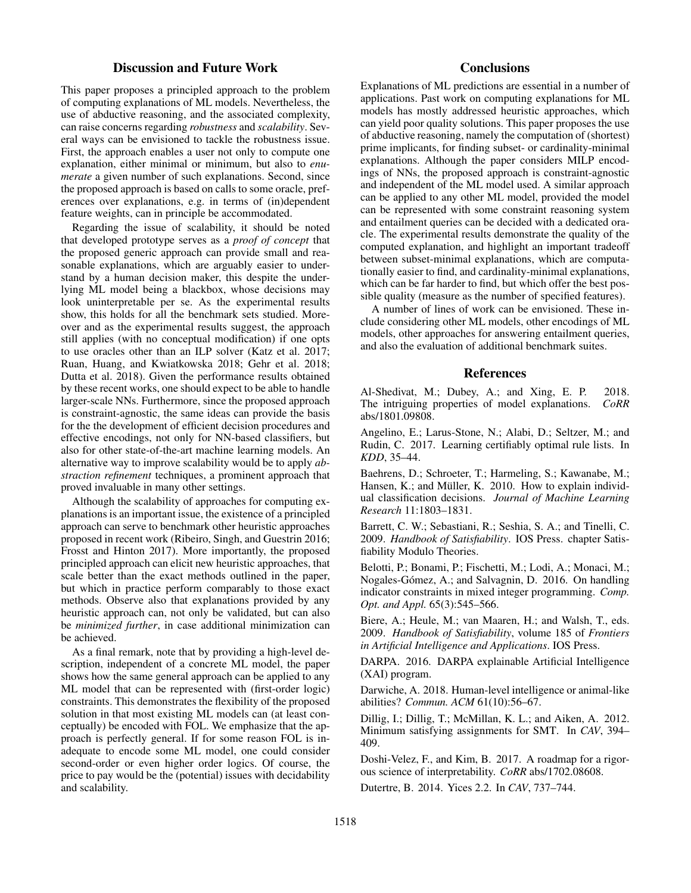## Discussion and Future Work

This paper proposes a principled approach to the problem of computing explanations of ML models. Nevertheless, the use of abductive reasoning, and the associated complexity, can raise concerns regarding *robustness* and *scalability*. Several ways can be envisioned to tackle the robustness issue. First, the approach enables a user not only to compute one explanation, either minimal or minimum, but also to *enumerate* a given number of such explanations. Second, since the proposed approach is based on calls to some oracle, preferences over explanations, e.g. in terms of (in)dependent feature weights, can in principle be accommodated.

Regarding the issue of scalability, it should be noted that developed prototype serves as a *proof of concept* that the proposed generic approach can provide small and reasonable explanations, which are arguably easier to understand by a human decision maker, this despite the underlying ML model being a blackbox, whose decisions may look uninterpretable per se. As the experimental results show, this holds for all the benchmark sets studied. Moreover and as the experimental results suggest, the approach still applies (with no conceptual modification) if one opts to use oracles other than an ILP solver (Katz et al. 2017; Ruan, Huang, and Kwiatkowska 2018; Gehr et al. 2018; Dutta et al. 2018). Given the performance results obtained by these recent works, one should expect to be able to handle larger-scale NNs. Furthermore, since the proposed approach is constraint-agnostic, the same ideas can provide the basis for the the development of efficient decision procedures and effective encodings, not only for NN-based classifiers, but also for other state-of-the-art machine learning models. An alternative way to improve scalability would be to apply *abstraction refinement* techniques, a prominent approach that proved invaluable in many other settings.

Although the scalability of approaches for computing explanations is an important issue, the existence of a principled approach can serve to benchmark other heuristic approaches proposed in recent work (Ribeiro, Singh, and Guestrin 2016; Frosst and Hinton 2017). More importantly, the proposed principled approach can elicit new heuristic approaches, that scale better than the exact methods outlined in the paper, but which in practice perform comparably to those exact methods. Observe also that explanations provided by any heuristic approach can, not only be validated, but can also be *minimized further*, in case additional minimization can be achieved.

As a final remark, note that by providing a high-level description, independent of a concrete ML model, the paper shows how the same general approach can be applied to any ML model that can be represented with (first-order logic) constraints. This demonstrates the flexibility of the proposed solution in that most existing ML models can (at least conceptually) be encoded with FOL. We emphasize that the approach is perfectly general. If for some reason FOL is inadequate to encode some ML model, one could consider second-order or even higher order logics. Of course, the price to pay would be the (potential) issues with decidability and scalability.

## **Conclusions**

Explanations of ML predictions are essential in a number of applications. Past work on computing explanations for ML models has mostly addressed heuristic approaches, which can yield poor quality solutions. This paper proposes the use of abductive reasoning, namely the computation of (shortest) prime implicants, for finding subset- or cardinality-minimal explanations. Although the paper considers MILP encodings of NNs, the proposed approach is constraint-agnostic and independent of the ML model used. A similar approach can be applied to any other ML model, provided the model can be represented with some constraint reasoning system and entailment queries can be decided with a dedicated oracle. The experimental results demonstrate the quality of the computed explanation, and highlight an important tradeoff between subset-minimal explanations, which are computationally easier to find, and cardinality-minimal explanations, which can be far harder to find, but which offer the best possible quality (measure as the number of specified features).

A number of lines of work can be envisioned. These include considering other ML models, other encodings of ML models, other approaches for answering entailment queries, and also the evaluation of additional benchmark suites.

### References

Al-Shedivat, M.; Dubey, A.; and Xing, E. P. 2018. The intriguing properties of model explanations. *CoRR* abs/1801.09808.

Angelino, E.; Larus-Stone, N.; Alabi, D.; Seltzer, M.; and Rudin, C. 2017. Learning certifiably optimal rule lists. In *KDD*, 35–44.

Baehrens, D.; Schroeter, T.; Harmeling, S.; Kawanabe, M.; Hansen, K.; and Müller, K. 2010. How to explain individual classification decisions. *Journal of Machine Learning Research* 11:1803–1831.

Barrett, C. W.; Sebastiani, R.; Seshia, S. A.; and Tinelli, C. 2009. *Handbook of Satisfiability*. IOS Press. chapter Satisfiability Modulo Theories.

Belotti, P.; Bonami, P.; Fischetti, M.; Lodi, A.; Monaci, M.; Nogales-Gómez, A.; and Salvagnin, D. 2016. On handling indicator constraints in mixed integer programming. *Comp. Opt. and Appl.* 65(3):545–566.

Biere, A.; Heule, M.; van Maaren, H.; and Walsh, T., eds. 2009. *Handbook of Satisfiability*, volume 185 of *Frontiers in Artificial Intelligence and Applications*. IOS Press.

DARPA. 2016. DARPA explainable Artificial Intelligence (XAI) program.

Darwiche, A. 2018. Human-level intelligence or animal-like abilities? *Commun. ACM* 61(10):56–67.

Dillig, I.; Dillig, T.; McMillan, K. L.; and Aiken, A. 2012. Minimum satisfying assignments for SMT. In *CAV*, 394– 409.

Doshi-Velez, F., and Kim, B. 2017. A roadmap for a rigorous science of interpretability. *CoRR* abs/1702.08608.

Dutertre, B. 2014. Yices 2.2. In *CAV*, 737–744.